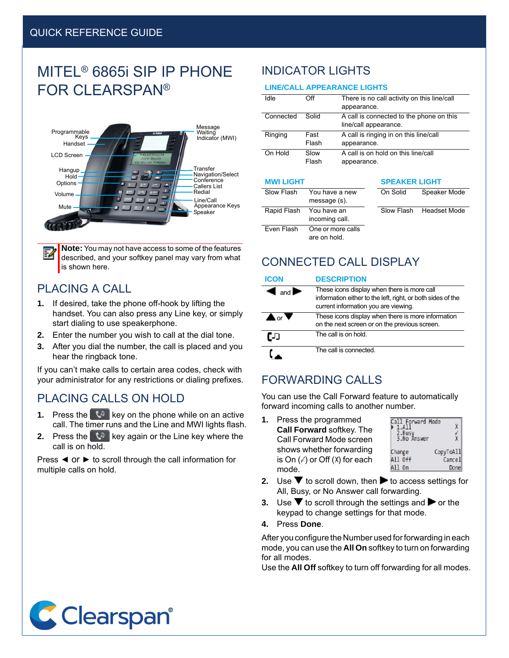# MITEL® 6865i SIP IP PHONE FOR CLEARSPAN®



**Note:** You may not have access to some of the features described, and your softkey panel may vary from what is shown here.

### PLACING A CALL

- **1.** If desired, take the phone off-hook by lifting the handset. You can also press any Line key, or simply start dialing to use speakerphone.
- **2.** Enter the number you wish to call at the dial tone.
- **3.** After you dial the number, the call is placed and you hear the ringback tone.

If you can't make calls to certain area codes, check with your administrator for any restrictions or dialing prefixes.

### PLACING CALLS ON HOLD

- **1.** Press the **key on the phone while on an active** call. The timer runs and the Line and MWI lights flash.
- **2.** Press the **kg** key again or the Line key where the call is on hold.

Press ◄ or ► to scroll through the call information for multiple calls on hold.

### INDICATOR LIGHTS

#### **LINE/CALL APPEARANCE LIGHTS**

| Idle      | Off           | There is no call activity on this line/call<br>appearance.        |
|-----------|---------------|-------------------------------------------------------------------|
| Connected | Solid         | A call is connected to the phone on this<br>line/call appearance. |
| Ringing   | Fast<br>Flash | A call is ringing in on this line/call<br>appearance.             |
| On Hold   | Slow<br>Flash | A call is on hold on this line/call<br>appearance.                |

#### **MWI LIGHT SPEAKER LIGHT**

| .           |                                   | -------------- |                         |
|-------------|-----------------------------------|----------------|-------------------------|
| Slow Flash  | You have a new<br>message (s).    | On Solid       | Speaker Mode            |
| Rapid Flash | You have an<br>incoming call.     |                | Slow Flash Headset Mode |
| Even Flash  | One or more calls<br>are on hold. |                |                         |

### CONNECTED CALL DISPLAY

#### **ICON DESCRIPTION**

| $\blacksquare$ | These icons display when there is more call<br>information either to the left, right, or both sides of the<br>current information you are viewing. |
|----------------|----------------------------------------------------------------------------------------------------------------------------------------------------|
| $\bullet$ or   | These icons display when there is more information<br>on the next screen or on the previous screen.                                                |
| נת             | The call is on hold.                                                                                                                               |
|                | The call is connected.                                                                                                                             |

### FORWARDING CALLS

You can use the Call Forward feature to automatically forward incoming calls to another number.

**1.** Press the programmed **Call Forward** softkey. The Call Forward Mode screen shows whether forwarding is On  $(\swarrow)$  or Off  $(X)$  for each mode.



- **2.** Use  $\blacktriangledown$  to scroll down, then  $\blacktriangleright$  to access settings for All, Busy, or No Answer call forwarding.
- **3.** Use  $\blacktriangledown$  to scroll through the settings and  $\blacktriangleright$  or the keypad to change settings for that mode.
- **4.** Press **Done**.

After you configure the Number used for forwarding in each mode, you can use the **All On** softkey to turn on forwarding for all modes.

Use the **All Off** softkey to turn off forwarding for all modes.

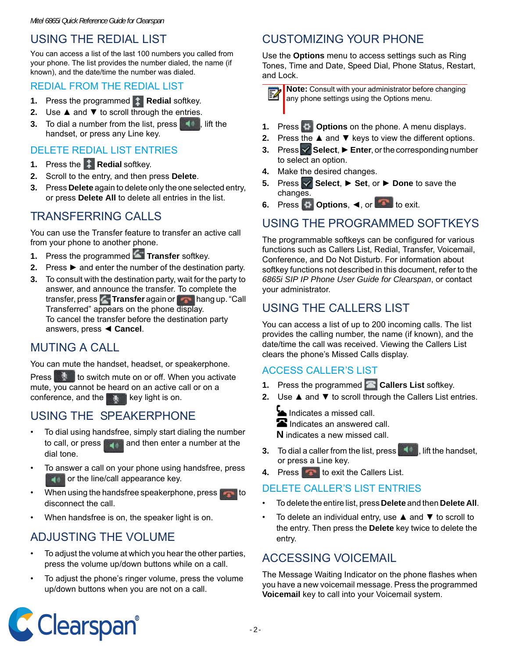## USING THE REDIAL LIST

You can access a list of the last 100 numbers you called from your phone. The list provides the number dialed, the name (if known), and the date/time the number was dialed.

#### REDIAL FROM THE REDIAL LIST

- **1.** Press the programmed **t** Redial softkey.
- **2.** Use **▲** and ▼ to scroll through the entries.
- **3.** To dial a number from the list, press **the figure in the set of the set of the set of the set of the set of the set of the set of the set of the set of the set of the set of the set of the set of the set of the set of** handset, or press any Line key.

#### DELETE REDIAL LIST ENTRIES

- **1.** Press the **A** Redial softkey.
- **2.** Scroll to the entry, and then press **Delete**.
- **3.** Press **Delete** again to delete only the one selected entry, or press **Delete All** to delete all entries in the list.

### TRANSFERRING CALLS

You can use the Transfer feature to transfer an active call from your phone to another phone.

- **1.** Press the programmed **T** Transfer softkey.
- **2.** Press ► and enter the number of the destination party.
- **3.** To consult with the destination party, wait for the party to answer, and announce the transfer. To complete the transfer, press **Transfer** again or **hang up.** "Call Transferred" appears on the phone display. To cancel the transfer before the destination party answers, press ◄ **Cancel**.

### MUTING A CALL

You can mute the handset, headset, or speakerphone.

Press to switch mute on or off. When you activate mute, you cannot be heard on an active call or on a conference, and the  $k$  key light is on.

### USING THE SPEAKERPHONE

- To dial using handsfree, simply start dialing the number to call, or press  $\Box$  and then enter a number at the dial tone.
- To answer a call on your phone using handsfree, press **For** or the line/call appearance key.
- When using the handsfree speakerphone, press disconnect the call.
- When handsfree is on, the speaker light is on.

### ADJUSTING THE VOLUME

- To adjust the volume at which you hear the other parties, press the volume up/down buttons while on a call.
- To adjust the phone's ringer volume, press the volume up/down buttons when you are not on a call.

## CUSTOMIZING YOUR PHONE

Use the **Options** menu to access settings such as Ring Tones, Time and Date, Speed Dial, Phone Status, Restart, and Lock.

**Note:** Consult with your administrator before changing Ø any phone settings using the Options menu.

- **1.** Press **C Options** on the phone. A menu displays.
- **2.** Press the ▲ and ▼ keys to view the different options.
- **3.** Press **Select, ► Enter, or the corresponding number** to select an option.
- **4.** Make the desired changes.
- **5.** Press **Select**, ► **Set**, or ► **Done** to save the changes.
- **6.** Press **♦ Options**, ◄, or **the detect** to exit.

### USING THE PROGRAMMED SOFTKEYS

The programmable softkeys can be configured for various functions such as Callers List, Redial, Transfer, Voicemail, Conference, and Do Not Disturb. For information about softkey functions not described in this document, refer to the *6865i SIP IP Phone User Guide for Clearspan*, or contact your administrator.

### USING THE CALLERS LIST

You can access a list of up to 200 incoming calls. The list provides the calling number, the name (if known), and the date/time the call was received. Viewing the Callers List clears the phone's Missed Calls display.

#### ACCESS CALLER'S LIST

- **1.** Press the programmed **Callers List** softkey.
- **2.** Use ▲ and ▼ to scroll through the Callers List entries.
	- Indicates a missed call.  $\blacksquare$  Indicates an answered call. **N** indicates a new missed call.
- **3.** To dial a caller from the list, press **TANN**, lift the handset, or press a Line key.
- **4.** Press **to exit the Callers List.**

#### DELETE CALLER'S LIST ENTRIES

- To delete the entire list, press **Delete** and then **Delete All**.
- To delete an individual entry, use  $\triangle$  and  $\nabla$  to scroll to the entry. Then press the **Delete** key twice to delete the entry.

### ACCESSING VOICEMAIL

The Message Waiting Indicator on the phone flashes when you have a new voicemail message. Press the programmed **Voicemail** key to call into your Voicemail system.